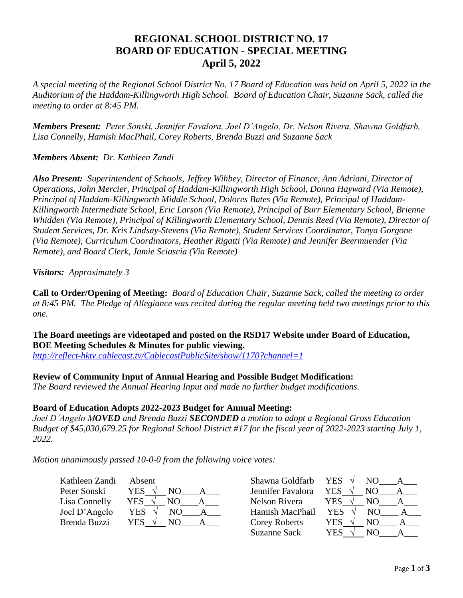# **REGIONAL SCHOOL DISTRICT NO. 17 BOARD OF EDUCATION - SPECIAL MEETING April 5, 2022**

*A special meeting of the Regional School District No. 17 Board of Education was held on April 5, 2022 in the Auditorium of the Haddam-Killingworth High School. Board of Education Chair, Suzanne Sack, called the meeting to order at 8:45 PM.*

*Members Present: Peter Sonski, Jennifer Favalora, Joel D'Angelo, Dr. Nelson Rivera, Shawna Goldfarb, Lisa Connelly, Hamish MacPhail, Corey Roberts, Brenda Buzzi and Suzanne Sack*

### *Members Absent: Dr. Kathleen Zandi*

*Also Present: Superintendent of Schools, Jeffrey Wihbey, Director of Finance, Ann Adriani, Director of Operations, John Mercier, Principal of Haddam-Killingworth High School, Donna Hayward (Via Remote), Principal of Haddam-Killingworth Middle School, Dolores Bates (Via Remote), Principal of Haddam-Killingworth Intermediate School, Eric Larson (Via Remote), Principal of Burr Elementary School, Brienne Whidden (Via Remote), Principal of Killingworth Elementary School, Dennis Reed (Via Remote), Director of Student Services, Dr. Kris Lindsay-Stevens (Via Remote), Student Services Coordinator, Tonya Gorgone (Via Remote), Curriculum Coordinators, Heather Rigatti (Via Remote) and Jennifer Beermuender (Via Remote), and Board Clerk, Jamie Sciascia (Via Remote)*

*Visitors: Approximately 3*

**Call to Order/Opening of Meeting:** *Board of Education Chair, Suzanne Sack, called the meeting to order at 8:45 PM. The Pledge of Allegiance was recited during the regular meeting held two meetings prior to this one.*

**The Board meetings are videotaped and posted on the RSD17 Website under Board of Education, BOE Meeting Schedules & Minutes for public viewing.**  *<http://reflect-hktv.cablecast.tv/CablecastPublicSite/show/1170?channel=1>*

#### **Review of Community Input of Annual Hearing and Possible Budget Modification:**

*The Board reviewed the Annual Hearing Input and made no further budget modifications.*

#### **Board of Education Adopts 2022-2023 Budget for Annual Meeting:**

*Joel D'Angelo MOVED and Brenda Buzzi SECONDED a motion to adopt a Regional Gross Education Budget of \$45,030,679.25 for Regional School District #17 for the fiscal year of 2022-2023 starting July 1, 2022.* 

*Motion unanimously passed 10-0-0 from the following voice votes:*

| Kathleen Zandi | Absent           | Shawna Goldfarb   | YES $\sqrt{ }$<br>NO. |
|----------------|------------------|-------------------|-----------------------|
| Peter Sonski   | YES              | Jennifer Favalora | YES.<br>NО            |
| Lisa Connelly  | <b>YES</b><br>NΟ | Nelson Rivera     | YES.<br>NО            |
| Joel D'Angelo  | YES<br>NO.       | Hamish MacPhail   | YES.<br>NO.           |
| Brenda Buzzi   | <b>YES</b><br>NО | Corey Roberts     | YES<br>NO             |
|                |                  | Suzanne Sack      | YES<br>NΟ             |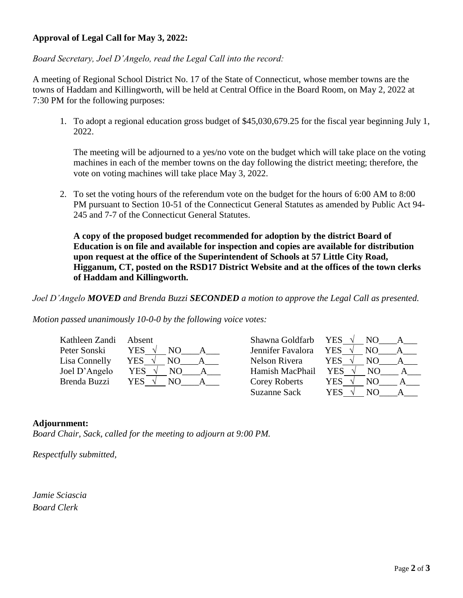## **Approval of Legal Call for May 3, 2022:**

*Board Secretary, Joel D'Angelo, read the Legal Call into the record:*

A meeting of Regional School District No. 17 of the State of Connecticut, whose member towns are the towns of Haddam and Killingworth, will be held at Central Office in the Board Room, on May 2, 2022 at 7:30 PM for the following purposes:

1. To adopt a regional education gross budget of \$45,030,679.25 for the fiscal year beginning July 1, 2022.

The meeting will be adjourned to a yes/no vote on the budget which will take place on the voting machines in each of the member towns on the day following the district meeting; therefore, the vote on voting machines will take place May 3, 2022.

2. To set the voting hours of the referendum vote on the budget for the hours of 6:00 AM to 8:00 PM pursuant to Section 10-51 of the Connecticut General Statutes as amended by Public Act 94- 245 and 7-7 of the Connecticut General Statutes.

**A copy of the proposed budget recommended for adoption by the district Board of Education is on file and available for inspection and copies are available for distribution upon request at the office of the Superintendent of Schools at 57 Little City Road, Higganum, CT, posted on the RSD17 District Website and at the offices of the town clerks of Haddam and Killingworth.**

*Joel D'Angelo MOVED and Brenda Buzzi SECONDED a motion to approve the Legal Call as presented.*

*Motion passed unanimously 10-0-0 by the following voice votes:*

| Kathleen Zandi | Absent      | Shawna Goldfarb      | YES.<br>NO.       |
|----------------|-------------|----------------------|-------------------|
| Peter Sonski   | <b>YES</b>  | Jennifer Favalora    | <b>YES</b><br>NO. |
| Lisa Connelly  | YES<br>NO   | Nelson Rivera        | YES<br>NO.        |
| Joel D'Angelo  | YES<br>NО   | Hamish MacPhail      | <b>YES</b><br>NO. |
| Brenda Buzzi   | YES .<br>NΟ | <b>Corey Roberts</b> | YES<br>NO.        |
|                |             | Suzanne Sack         | YES<br>NО         |

## **Adjournment:**

*Board Chair, Sack, called for the meeting to adjourn at 9:00 PM.*

*Respectfully submitted,*

*Jamie Sciascia Board Clerk*